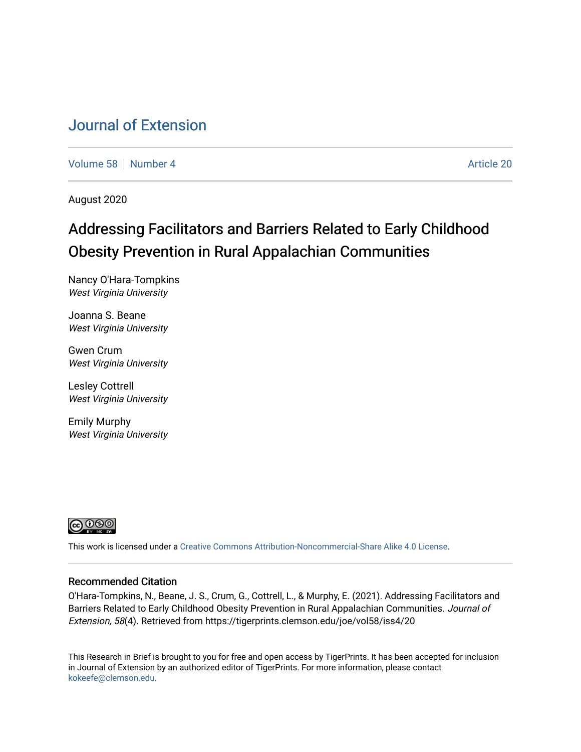# [Journal of Extension](https://tigerprints.clemson.edu/joe)

[Volume 58](https://tigerprints.clemson.edu/joe/vol58) [Number 4](https://tigerprints.clemson.edu/joe/vol58/iss4) Article 20

August 2020

# Addressing Facilitators and Barriers Related to Early Childhood Obesity Prevention in Rural Appalachian Communities

Nancy O'Hara-Tompkins West Virginia University

Joanna S. Beane West Virginia University

Gwen Crum West Virginia University

Lesley Cottrell West Virginia University

Emily Murphy West Virginia University



This work is licensed under a [Creative Commons Attribution-Noncommercial-Share Alike 4.0 License.](https://creativecommons.org/licenses/by-nc-sa/4.0/)

### Recommended Citation

O'Hara-Tompkins, N., Beane, J. S., Crum, G., Cottrell, L., & Murphy, E. (2021). Addressing Facilitators and Barriers Related to Early Childhood Obesity Prevention in Rural Appalachian Communities. Journal of Extension, 58(4). Retrieved from https://tigerprints.clemson.edu/joe/vol58/iss4/20

This Research in Brief is brought to you for free and open access by TigerPrints. It has been accepted for inclusion in Journal of Extension by an authorized editor of TigerPrints. For more information, please contact [kokeefe@clemson.edu](mailto:kokeefe@clemson.edu).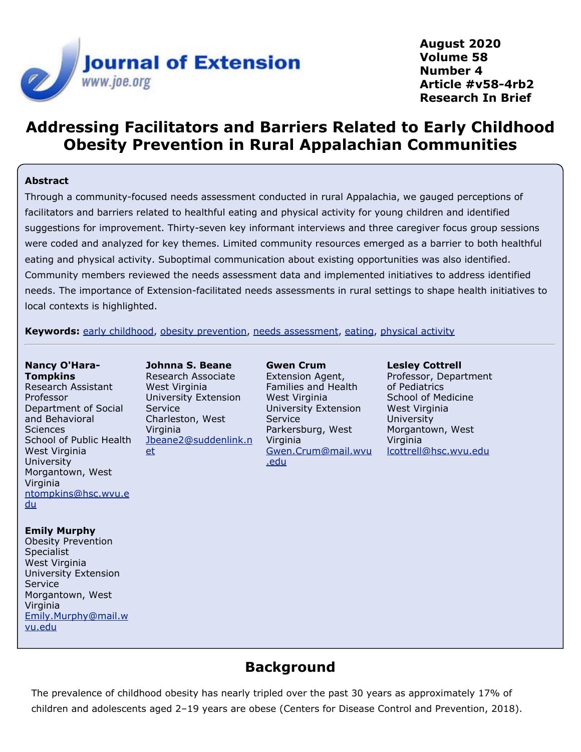

**August 2020 Volume 58 Number 4 Article #v58-4rb2 Research In Brief**

# **Addressing Facilitators and Barriers Related to Early Childhood Obesity Prevention in Rural Appalachian Communities**

#### **Abstract**

Through a community-focused needs assessment conducted in rural Appalachia, we gauged perceptions of facilitators and barriers related to healthful eating and physical activity for young children and identified suggestions for improvement. Thirty-seven key informant interviews and three caregiver focus group sessions were coded and analyzed for key themes. Limited community resources emerged as a barrier to both healthful eating and physical activity. Suboptimal communication about existing opportunities was also identified. Community members reviewed the needs assessment data and implemented initiatives to address identified needs. The importance of Extension-facilitated needs assessments in rural settings to shape health initiatives to local contexts is highlighted.

**Keywords:** [early childhood](https://joe.org/search-results.php?cx=010816128502272931564%3Aopgn_voyplk&cof=FORID%3A10&ie=UTF-8&q=early childhood&sa=Search+JOE#1039\), [obesity prevention](https://joe.org/search-results.php?cx=010816128502272931564%3Aopgn_voyplk&cof=FORID%3A10&ie=UTF-8&q=obesity prevention&sa=Search+JOE#1039\), [needs assessment](https://joe.org/search-results.php?cx=010816128502272931564%3Aopgn_voyplk&cof=FORID%3A10&ie=UTF-8&q=needs assessment&sa=Search+JOE#1039\), [eating](https://joe.org/search-results.php?cx=010816128502272931564%3Aopgn_voyplk&cof=FORID%3A10&ie=UTF-8&q=eating&sa=Search+JOE#1039\), [physical activity](https://joe.org/search-results.php?cx=010816128502272931564%3Aopgn_voyplk&cof=FORID%3A10&ie=UTF-8&q=physical activity&sa=Search+JOE#1039)

#### **Nancy O'Hara-Tompkins**

Research Assistant Professor Department of Social and Behavioral **Sciences** School of Public Health West Virginia University Morgantown, West Virginia [ntompkins@hsc.wvu.e](mailto:ntompkins@hsc.wvu.edu) [du](mailto:ntompkins@hsc.wvu.edu)

#### **Emily Murphy**

Obesity Prevention Specialist West Virginia University Extension Service Morgantown, West Virginia [Emily.Murphy@mail.w](mailto:Emily.Murphy@mail.wvu.edu) [vu.edu](mailto:Emily.Murphy@mail.wvu.edu)

**Johnna S. Beane** Research Associate West Virginia University Extension Service Charleston, West Virginia [Jbeane2@suddenlink.n](mailto:Jbeane2@suddenlink.net) [et](mailto:Jbeane2@suddenlink.net)

**Gwen Crum** Extension Agent, Families and Health West Virginia University Extension Service Parkersburg, West Virginia [Gwen.Crum@mail.wvu](mailto:Gwen.Crum@mail.wvu.edu) [.edu](mailto:Gwen.Crum@mail.wvu.edu)

**Lesley Cottrell** Professor, Department of Pediatrics

School of Medicine West Virginia **University** Morgantown, West **Virginia** [lcottrell@hsc.wvu.edu](mailto:lcottrell@hsc.wvu.edu)

### **Background**

The prevalence of childhood obesity has nearly tripled over the past 30 years as approximately 17% of children and adolescents aged 2–19 years are obese (Centers for Disease Control and Prevention, 2018).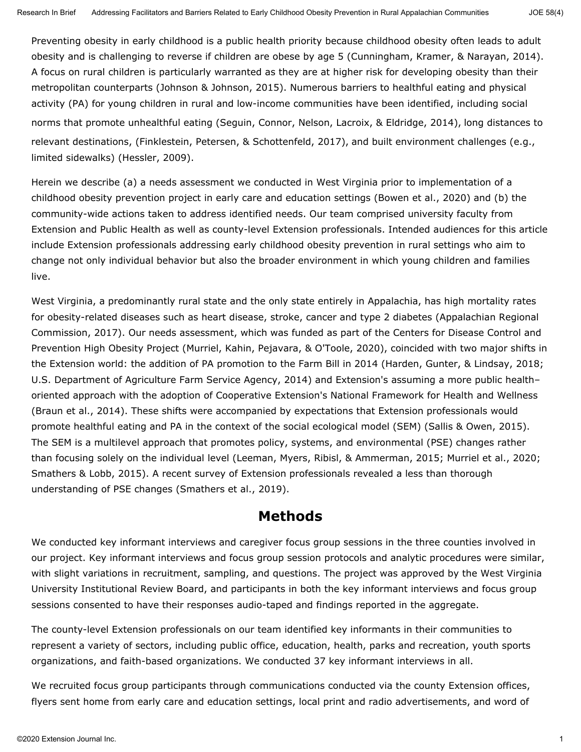Preventing obesity in early childhood is a public health priority because childhood obesity often leads to adult obesity and is challenging to reverse if children are obese by age 5 (Cunningham, Kramer, & Narayan, 2014). A focus on rural children is particularly warranted as they are at higher risk for developing obesity than their metropolitan counterparts (Johnson & Johnson, 2015). Numerous barriers to healthful eating and physical activity (PA) for young children in rural and low-income communities have been identified, including social norms that promote unhealthful eating (Seguin, Connor, Nelson, Lacroix, & Eldridge, 2014), long distances to relevant destinations, (Finklestein, Petersen, & Schottenfeld, 2017), and built environment challenges (e.g., limited sidewalks) (Hessler, 2009).

Herein we describe (a) a needs assessment we conducted in West Virginia prior to implementation of a childhood obesity prevention project in early care and education settings (Bowen et al., 2020) and (b) the community-wide actions taken to address identified needs. Our team comprised university faculty from Extension and Public Health as well as county-level Extension professionals. Intended audiences for this article include Extension professionals addressing early childhood obesity prevention in rural settings who aim to change not only individual behavior but also the broader environment in which young children and families live.

West Virginia, a predominantly rural state and the only state entirely in Appalachia, has high mortality rates for obesity-related diseases such as heart disease, stroke, cancer and type 2 diabetes (Appalachian Regional Commission, 2017). Our needs assessment, which was funded as part of the Centers for Disease Control and Prevention High Obesity Project (Murriel, Kahin, Pejavara, & O'Toole, 2020), coincided with two major shifts in the Extension world: the addition of PA promotion to the Farm Bill in 2014 (Harden, Gunter, & Lindsay, 2018; U.S. Department of Agriculture Farm Service Agency, 2014) and Extension's assuming a more public health– oriented approach with the adoption of Cooperative Extension's National Framework for Health and Wellness (Braun et al., 2014). These shifts were accompanied by expectations that Extension professionals would promote healthful eating and PA in the context of the social ecological model (SEM) (Sallis & Owen, 2015). The SEM is a multilevel approach that promotes policy, systems, and environmental (PSE) changes rather than focusing solely on the individual level (Leeman, Myers, Ribisl, & Ammerman, 2015; Murriel et al., 2020; Smathers & Lobb, 2015). A recent survey of Extension professionals revealed a less than thorough understanding of PSE changes (Smathers et al., 2019).

### **Methods**

We conducted key informant interviews and caregiver focus group sessions in the three counties involved in our project. Key informant interviews and focus group session protocols and analytic procedures were similar, with slight variations in recruitment, sampling, and questions. The project was approved by the West Virginia University Institutional Review Board, and participants in both the key informant interviews and focus group sessions consented to have their responses audio-taped and findings reported in the aggregate.

The county-level Extension professionals on our team identified key informants in their communities to represent a variety of sectors, including public office, education, health, parks and recreation, youth sports organizations, and faith-based organizations. We conducted 37 key informant interviews in all.

We recruited focus group participants through communications conducted via the county Extension offices, flyers sent home from early care and education settings, local print and radio advertisements, and word of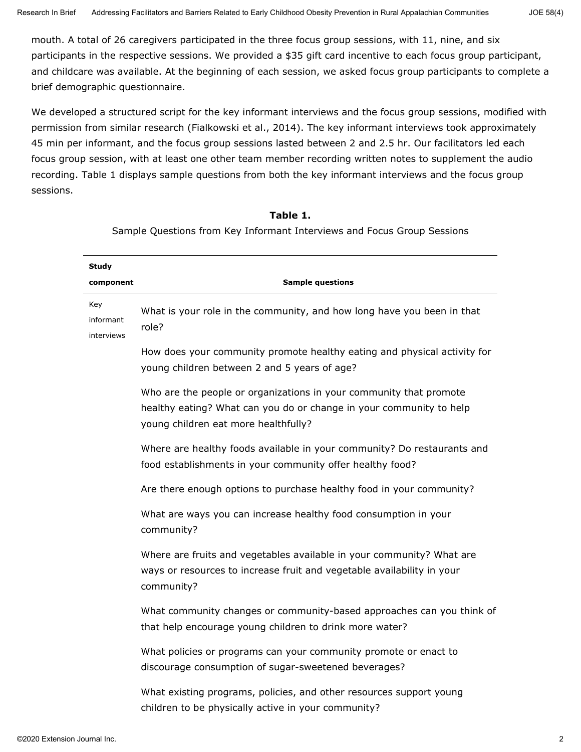mouth. A total of 26 caregivers participated in the three focus group sessions, with 11, nine, and six participants in the respective sessions. We provided a \$35 gift card incentive to each focus group participant, and childcare was available. At the beginning of each session, we asked focus group participants to complete a brief demographic questionnaire.

We developed a structured script for the key informant interviews and the focus group sessions, modified with permission from similar research (Fialkowski et al., 2014). The key informant interviews took approximately 45 min per informant, and the focus group sessions lasted between 2 and 2.5 hr. Our facilitators led each focus group session, with at least one other team member recording written notes to supplement the audio recording. Table 1 displays sample questions from both the key informant interviews and the focus group sessions.

#### **Table 1.**

Sample Questions from Key Informant Interviews and Focus Group Sessions

| <b>Study</b>                   |                                                                                                                                                                                   |  |  |  |
|--------------------------------|-----------------------------------------------------------------------------------------------------------------------------------------------------------------------------------|--|--|--|
| component                      | <b>Sample questions</b>                                                                                                                                                           |  |  |  |
| Key<br>informant<br>interviews | What is your role in the community, and how long have you been in that<br>role?                                                                                                   |  |  |  |
|                                | How does your community promote healthy eating and physical activity for<br>young children between 2 and 5 years of age?                                                          |  |  |  |
|                                | Who are the people or organizations in your community that promote<br>healthy eating? What can you do or change in your community to help<br>young children eat more healthfully? |  |  |  |
|                                | Where are healthy foods available in your community? Do restaurants and<br>food establishments in your community offer healthy food?                                              |  |  |  |
|                                | Are there enough options to purchase healthy food in your community?                                                                                                              |  |  |  |
|                                | What are ways you can increase healthy food consumption in your<br>community?                                                                                                     |  |  |  |
|                                | Where are fruits and vegetables available in your community? What are<br>ways or resources to increase fruit and vegetable availability in your<br>community?                     |  |  |  |
|                                | What community changes or community-based approaches can you think of<br>that help encourage young children to drink more water?                                                  |  |  |  |
|                                | What policies or programs can your community promote or enact to<br>discourage consumption of sugar-sweetened beverages?                                                          |  |  |  |
|                                | What existing programs, policies, and other resources support young<br>children to be physically active in your community?                                                        |  |  |  |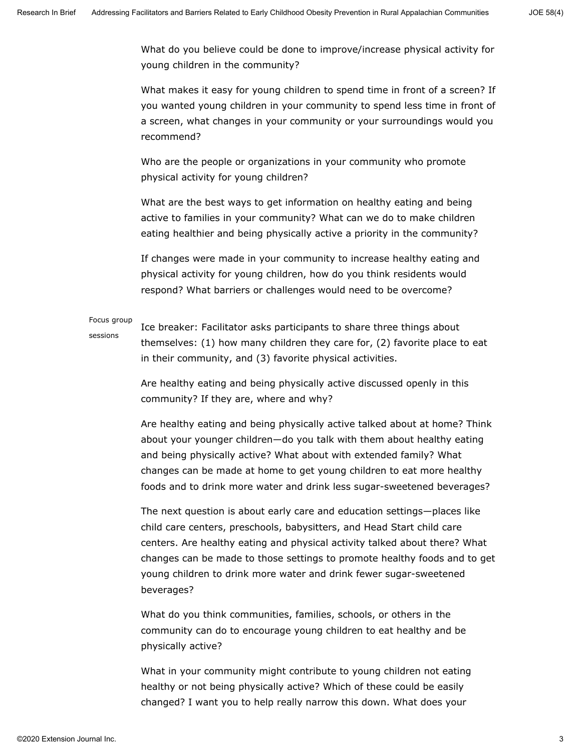What do you believe could be done to improve/increase physical activity for young children in the community?

What makes it easy for young children to spend time in front of a screen? If you wanted young children in your community to spend less time in front of a screen, what changes in your community or your surroundings would you recommend?

Who are the people or organizations in your community who promote physical activity for young children?

What are the best ways to get information on healthy eating and being active to families in your community? What can we do to make children eating healthier and being physically active a priority in the community?

If changes were made in your community to increase healthy eating and physical activity for young children, how do you think residents would respond? What barriers or challenges would need to be overcome?

### Focus group sessions

Ice breaker: Facilitator asks participants to share three things about themselves: (1) how many children they care for, (2) favorite place to eat in their community, and (3) favorite physical activities.

Are healthy eating and being physically active discussed openly in this community? If they are, where and why?

Are healthy eating and being physically active talked about at home? Think about your younger children—do you talk with them about healthy eating and being physically active? What about with extended family? What changes can be made at home to get young children to eat more healthy foods and to drink more water and drink less sugar-sweetened beverages?

The next question is about early care and education settings—places like child care centers, preschools, babysitters, and Head Start child care centers. Are healthy eating and physical activity talked about there? What changes can be made to those settings to promote healthy foods and to get young children to drink more water and drink fewer sugar-sweetened beverages?

What do you think communities, families, schools, or others in the community can do to encourage young children to eat healthy and be physically active?

What in your community might contribute to young children not eating healthy or not being physically active? Which of these could be easily changed? I want you to help really narrow this down. What does your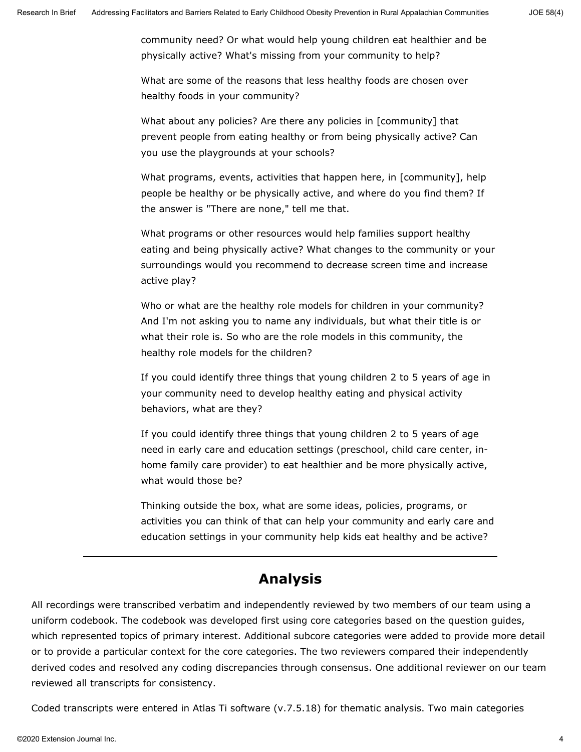community need? Or what would help young children eat healthier and be physically active? What's missing from your community to help?

What are some of the reasons that less healthy foods are chosen over healthy foods in your community?

What about any policies? Are there any policies in [community] that prevent people from eating healthy or from being physically active? Can you use the playgrounds at your schools?

What programs, events, activities that happen here, in [community], help people be healthy or be physically active, and where do you find them? If the answer is "There are none," tell me that.

What programs or other resources would help families support healthy eating and being physically active? What changes to the community or your surroundings would you recommend to decrease screen time and increase active play?

Who or what are the healthy role models for children in your community? And I'm not asking you to name any individuals, but what their title is or what their role is. So who are the role models in this community, the healthy role models for the children?

If you could identify three things that young children 2 to 5 years of age in your community need to develop healthy eating and physical activity behaviors, what are they?

If you could identify three things that young children 2 to 5 years of age need in early care and education settings (preschool, child care center, inhome family care provider) to eat healthier and be more physically active, what would those be?

Thinking outside the box, what are some ideas, policies, programs, or activities you can think of that can help your community and early care and education settings in your community help kids eat healthy and be active?

### **Analysis**

All recordings were transcribed verbatim and independently reviewed by two members of our team using a uniform codebook. The codebook was developed first using core categories based on the question guides, which represented topics of primary interest. Additional subcore categories were added to provide more detail or to provide a particular context for the core categories. The two reviewers compared their independently derived codes and resolved any coding discrepancies through consensus. One additional reviewer on our team reviewed all transcripts for consistency.

Coded transcripts were entered in Atlas Ti software (v.7.5.18) for thematic analysis. Two main categories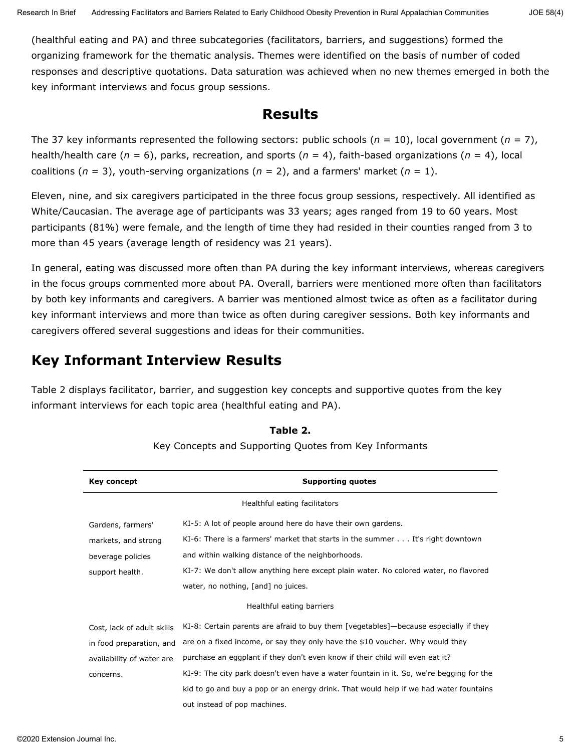(healthful eating and PA) and three subcategories (facilitators, barriers, and suggestions) formed the organizing framework for the thematic analysis. Themes were identified on the basis of number of coded responses and descriptive quotations. Data saturation was achieved when no new themes emerged in both the key informant interviews and focus group sessions.

### **Results**

The 37 key informants represented the following sectors: public schools (*n* = 10), local government (*n* = 7), health/health care (*n* = 6), parks, recreation, and sports (*n* = 4), faith-based organizations (*n* = 4), local coalitions  $(n = 3)$ , youth-serving organizations  $(n = 2)$ , and a farmers' market  $(n = 1)$ .

Eleven, nine, and six caregivers participated in the three focus group sessions, respectively. All identified as White/Caucasian. The average age of participants was 33 years; ages ranged from 19 to 60 years. Most participants (81%) were female, and the length of time they had resided in their counties ranged from 3 to more than 45 years (average length of residency was 21 years).

In general, eating was discussed more often than PA during the key informant interviews, whereas caregivers in the focus groups commented more about PA. Overall, barriers were mentioned more often than facilitators by both key informants and caregivers. A barrier was mentioned almost twice as often as a facilitator during key informant interviews and more than twice as often during caregiver sessions. Both key informants and caregivers offered several suggestions and ideas for their communities.

## **Key Informant Interview Results**

Table 2 displays facilitator, barrier, and suggestion key concepts and supportive quotes from the key informant interviews for each topic area (healthful eating and PA).

| <b>Supporting quotes</b>                                                                |
|-----------------------------------------------------------------------------------------|
| Healthful eating facilitators                                                           |
| KI-5: A lot of people around here do have their own gardens.                            |
| KI-6: There is a farmers' market that starts in the summer It's right downtown          |
| and within walking distance of the neighborhoods.                                       |
| KI-7: We don't allow anything here except plain water. No colored water, no flavored    |
| water, no nothing, [and] no juices.                                                     |
| Healthful eating barriers                                                               |
| KI-8: Certain parents are afraid to buy them [vegetables]—because especially if they    |
| are on a fixed income, or say they only have the \$10 voucher. Why would they           |
| purchase an eggplant if they don't even know if their child will even eat it?           |
| KI-9: The city park doesn't even have a water fountain in it. So, we're begging for the |
| kid to go and buy a pop or an energy drink. That would help if we had water fountains   |
| out instead of pop machines.                                                            |
|                                                                                         |

### **Table 2.**

Key Concepts and Supporting Quotes from Key Informants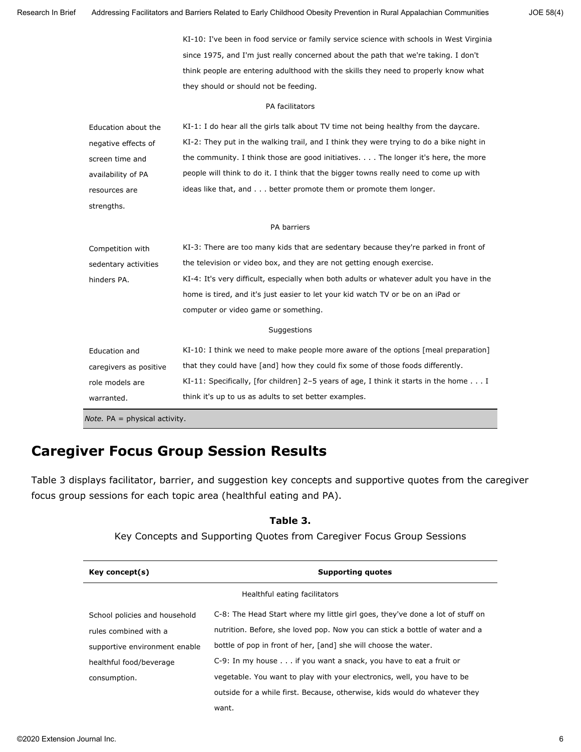|                        | KI-10: I've been in food service or family service science with schools in West Virginia      |
|------------------------|-----------------------------------------------------------------------------------------------|
|                        | since 1975, and I'm just really concerned about the path that we're taking. I don't           |
|                        | think people are entering adulthood with the skills they need to properly know what           |
|                        | they should or should not be feeding.                                                         |
|                        | PA facilitators                                                                               |
| Education about the    | KI-1: I do hear all the girls talk about TV time not being healthy from the daycare.          |
| negative effects of    | KI-2: They put in the walking trail, and I think they were trying to do a bike night in       |
| screen time and        | the community. I think those are good initiatives. The longer it's here, the more             |
| availability of PA     | people will think to do it. I think that the bigger towns really need to come up with         |
| resources are          | ideas like that, and better promote them or promote them longer.                              |
| strengths.             |                                                                                               |
|                        | PA barriers                                                                                   |
| Competition with       | KI-3: There are too many kids that are sedentary because they're parked in front of           |
| sedentary activities   | the television or video box, and they are not getting enough exercise.                        |
| hinders PA.            | KI-4: It's very difficult, especially when both adults or whatever adult you have in the      |
|                        | home is tired, and it's just easier to let your kid watch TV or be on an iPad or              |
|                        | computer or video game or something.                                                          |
|                        | Suggestions                                                                                   |
| Education and          | KI-10: I think we need to make people more aware of the options [meal preparation]            |
| caregivers as positive | that they could have [and] how they could fix some of those foods differently.                |
| role models are        | KI-11: Specifically, [for children] 2-5 years of age, I think it starts in the home $\dots$ I |
| warranted.             | think it's up to us as adults to set better examples.                                         |

## **Caregiver Focus Group Session Results**

Table 3 displays facilitator, barrier, and suggestion key concepts and supportive quotes from the caregiver focus group sessions for each topic area (healthful eating and PA).

| Key concept(s)                | <b>Supporting quotes</b>                                                      |
|-------------------------------|-------------------------------------------------------------------------------|
|                               | Healthful eating facilitators                                                 |
| School policies and household | C-8: The Head Start where my little girl goes, they've done a lot of stuff on |
| rules combined with a         | nutrition. Before, she loved pop. Now you can stick a bottle of water and a   |
| supportive environment enable | bottle of pop in front of her, [and] she will choose the water.               |
| healthful food/beverage       | C-9: In my house if you want a snack, you have to eat a fruit or              |
| consumption.                  | vegetable. You want to play with your electronics, well, you have to be       |
|                               | outside for a while first. Because, otherwise, kids would do whatever they    |
|                               | want.                                                                         |

#### **Table 3.**

Key Concepts and Supporting Quotes from Caregiver Focus Group Sessions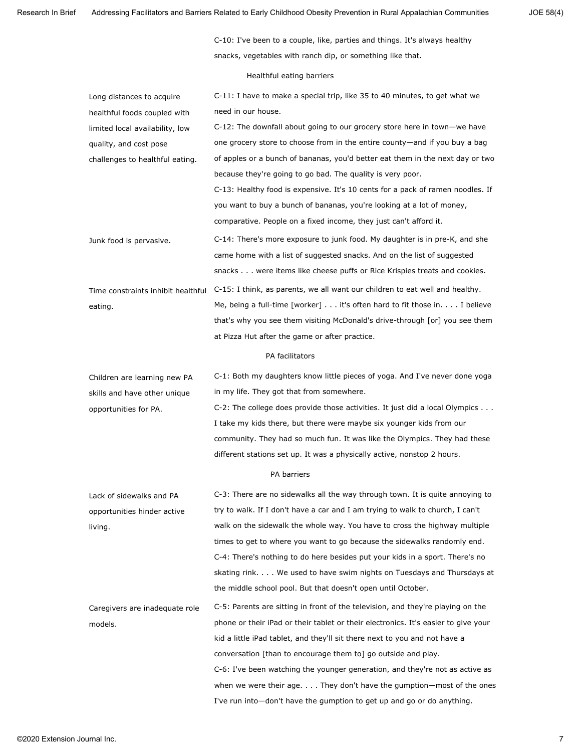Research In Brief Addressing Facilitators and Barriers Related to Early Childhood Obesity Prevention in Rural Appalachian Communities JOE 58(4)

C-10: I've been to a couple, like, parties and things. It's always healthy snacks, vegetables with ranch dip, or something like that.

Healthful eating barriers

| Long distances to acquire          | C-11: I have to make a special trip, like 35 to 40 minutes, to get what we         |
|------------------------------------|------------------------------------------------------------------------------------|
| healthful foods coupled with       | need in our house.                                                                 |
| limited local availability, low    | C-12: The downfall about going to our grocery store here in town-we have           |
| quality, and cost pose             | one grocery store to choose from in the entire county—and if you buy a bag         |
| challenges to healthful eating.    | of apples or a bunch of bananas, you'd better eat them in the next day or two      |
|                                    | because they're going to go bad. The quality is very poor.                         |
|                                    | C-13: Healthy food is expensive. It's 10 cents for a pack of ramen noodles. If     |
|                                    | you want to buy a bunch of bananas, you're looking at a lot of money,              |
|                                    | comparative. People on a fixed income, they just can't afford it.                  |
| Junk food is pervasive.            | C-14: There's more exposure to junk food. My daughter is in pre-K, and she         |
|                                    | came home with a list of suggested snacks. And on the list of suggested            |
|                                    | snacks were items like cheese puffs or Rice Krispies treats and cookies.           |
| Time constraints inhibit healthful | C-15: I think, as parents, we all want our children to eat well and healthy.       |
| eating.                            | Me, being a full-time [worker] it's often hard to fit those in. I believe          |
|                                    | that's why you see them visiting McDonald's drive-through [or] you see them        |
|                                    | at Pizza Hut after the game or after practice.                                     |
|                                    | PA facilitators                                                                    |
| Children are learning new PA       | C-1: Both my daughters know little pieces of yoga. And I've never done yoga        |
| skills and have other unique       | in my life. They got that from somewhere.                                          |
| opportunities for PA.              | C-2: The college does provide those activities. It just did a local Olympics       |
|                                    | I take my kids there, but there were maybe six younger kids from our               |
|                                    | community. They had so much fun. It was like the Olympics. They had these          |
|                                    | different stations set up. It was a physically active, nonstop 2 hours.            |
|                                    | PA barriers                                                                        |
| Lack of sidewalks and PA           | C-3: There are no sidewalks all the way through town. It is quite annoying to      |
| opportunities hinder active        | try to walk. If I don't have a car and I am trying to walk to church, I can't      |
| living.                            | walk on the sidewalk the whole way. You have to cross the highway multiple         |
|                                    | times to get to where you want to go because the sidewalks randomly end.           |
|                                    | C-4: There's nothing to do here besides put your kids in a sport. There's no       |
|                                    | skating rink. We used to have swim nights on Tuesdays and Thursdays at             |
|                                    | the middle school pool. But that doesn't open until October.                       |
| Caregivers are inadequate role     | C-5: Parents are sitting in front of the television, and they're playing on the    |
| models.                            | phone or their iPad or their tablet or their electronics. It's easier to give your |
|                                    | kid a little iPad tablet, and they'll sit there next to you and not have a         |
|                                    | conversation [than to encourage them to] go outside and play.                      |
|                                    | C-6: I've been watching the younger generation, and they're not as active as       |
|                                    | when we were their age. $\dots$ They don't have the gumption—most of the ones      |
|                                    | I've run into-don't have the gumption to get up and go or do anything.             |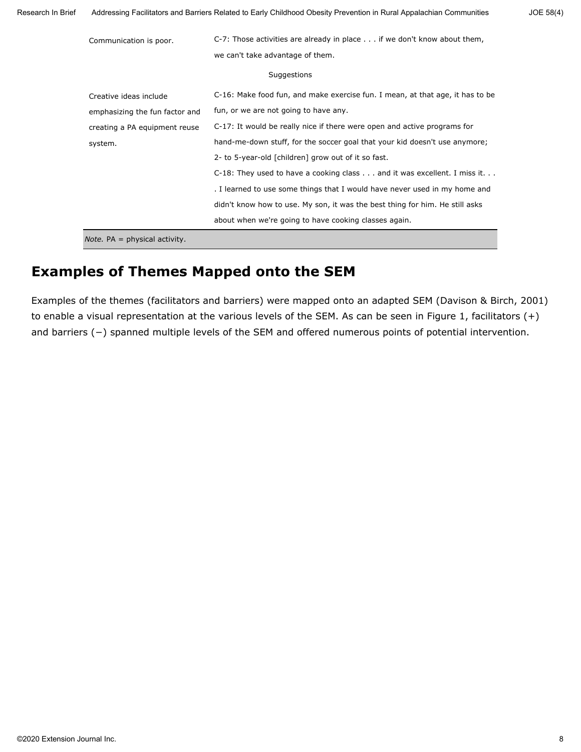| Research In Brief | Addressing Facilitators and Barriers Related to Early Childhood Obesity Prevention in Rural Appalachian Communities |                                                                                 |  |  |  |  |
|-------------------|---------------------------------------------------------------------------------------------------------------------|---------------------------------------------------------------------------------|--|--|--|--|
|                   | Communication is poor.                                                                                              | C-7: Those activities are already in place $\dots$ if we don't know about them, |  |  |  |  |
|                   |                                                                                                                     | we can't take advantage of them.                                                |  |  |  |  |
|                   | Suggestions                                                                                                         |                                                                                 |  |  |  |  |
|                   | Creative ideas include                                                                                              | C-16: Make food fun, and make exercise fun. I mean, at that age, it has to be   |  |  |  |  |
|                   | emphasizing the fun factor and                                                                                      | fun, or we are not going to have any.                                           |  |  |  |  |
|                   | creating a PA equipment reuse                                                                                       | C-17: It would be really nice if there were open and active programs for        |  |  |  |  |
|                   | system.                                                                                                             | hand-me-down stuff, for the soccer goal that your kid doesn't use anymore;      |  |  |  |  |
|                   |                                                                                                                     | 2- to 5-year-old [children] grow out of it so fast.                             |  |  |  |  |
|                   |                                                                                                                     | C-18: They used to have a cooking class and it was excellent. I miss it.        |  |  |  |  |
|                   |                                                                                                                     | . I learned to use some things that I would have never used in my home and      |  |  |  |  |
|                   |                                                                                                                     | didn't know how to use. My son, it was the best thing for him. He still asks    |  |  |  |  |
|                   |                                                                                                                     | about when we're going to have cooking classes again.                           |  |  |  |  |
|                   | <i>Note.</i> $PA = physical activity$ .                                                                             |                                                                                 |  |  |  |  |

## **Examples of Themes Mapped onto the SEM**

Examples of the themes (facilitators and barriers) were mapped onto an adapted SEM (Davison & Birch, 2001) to enable a visual representation at the various levels of the SEM. As can be seen in Figure 1, facilitators (+) and barriers (−) spanned multiple levels of the SEM and offered numerous points of potential intervention.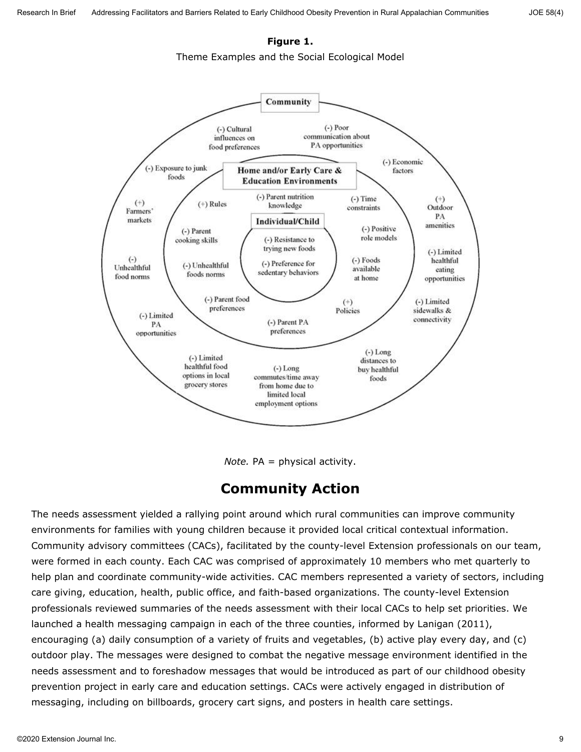### **Figure 1.**

Theme Examples and the Social Ecological Model



*Note.* PA = physical activity.

### **Community Action**

The needs assessment yielded a rallying point around which rural communities can improve community environments for families with young children because it provided local critical contextual information. Community advisory committees (CACs), facilitated by the county-level Extension professionals on our team, were formed in each county. Each CAC was comprised of approximately 10 members who met quarterly to help plan and coordinate community-wide activities. CAC members represented a variety of sectors, including care giving, education, health, public office, and faith-based organizations. The county-level Extension professionals reviewed summaries of the needs assessment with their local CACs to help set priorities. We launched a health messaging campaign in each of the three counties, informed by Lanigan (2011), encouraging (a) daily consumption of a variety of fruits and vegetables, (b) active play every day, and (c) outdoor play. The messages were designed to combat the negative message environment identified in the needs assessment and to foreshadow messages that would be introduced as part of our childhood obesity prevention project in early care and education settings. CACs were actively engaged in distribution of messaging, including on billboards, grocery cart signs, and posters in health care settings.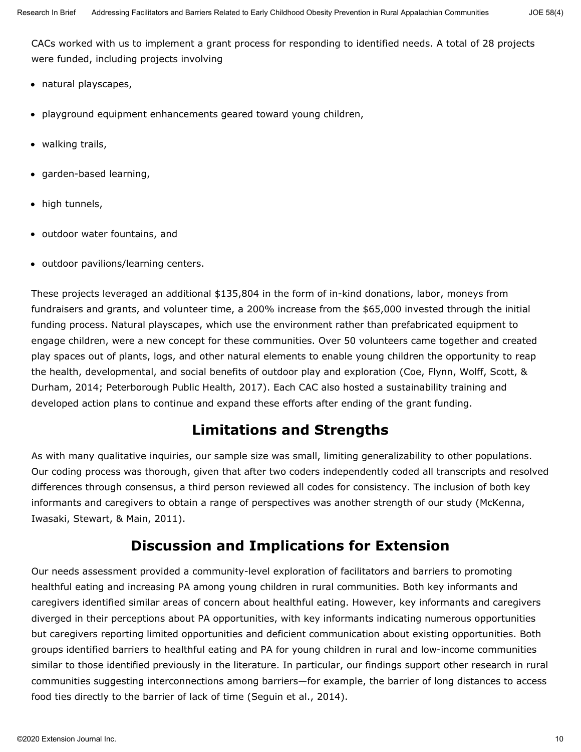CACs worked with us to implement a grant process for responding to identified needs. A total of 28 projects were funded, including projects involving

- natural playscapes,
- playground equipment enhancements geared toward young children,
- walking trails,
- garden-based learning,
- high tunnels,
- outdoor water fountains, and
- outdoor pavilions/learning centers.

These projects leveraged an additional \$135,804 in the form of in-kind donations, labor, moneys from fundraisers and grants, and volunteer time, a 200% increase from the \$65,000 invested through the initial funding process. Natural playscapes, which use the environment rather than prefabricated equipment to engage children, were a new concept for these communities. Over 50 volunteers came together and created play spaces out of plants, logs, and other natural elements to enable young children the opportunity to reap the health, developmental, and social benefits of outdoor play and exploration (Coe, Flynn, Wolff, Scott, & Durham, 2014; Peterborough Public Health, 2017). Each CAC also hosted a sustainability training and developed action plans to continue and expand these efforts after ending of the grant funding.

# **Limitations and Strengths**

As with many qualitative inquiries, our sample size was small, limiting generalizability to other populations. Our coding process was thorough, given that after two coders independently coded all transcripts and resolved differences through consensus, a third person reviewed all codes for consistency. The inclusion of both key informants and caregivers to obtain a range of perspectives was another strength of our study (McKenna, Iwasaki, Stewart, & Main, 2011).

# **Discussion and Implications for Extension**

Our needs assessment provided a community-level exploration of facilitators and barriers to promoting healthful eating and increasing PA among young children in rural communities. Both key informants and caregivers identified similar areas of concern about healthful eating. However, key informants and caregivers diverged in their perceptions about PA opportunities, with key informants indicating numerous opportunities but caregivers reporting limited opportunities and deficient communication about existing opportunities. Both groups identified barriers to healthful eating and PA for young children in rural and low-income communities similar to those identified previously in the literature. In particular, our findings support other research in rural communities suggesting interconnections among barriers—for example, the barrier of long distances to access food ties directly to the barrier of lack of time (Seguin et al., 2014).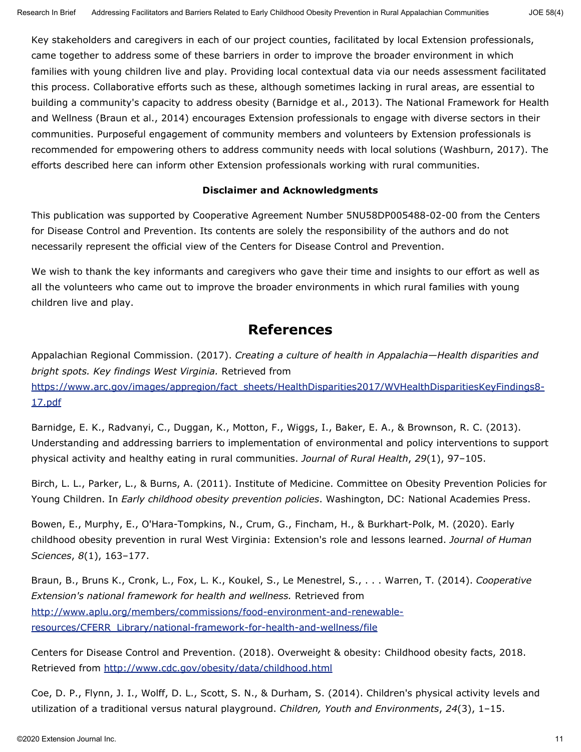Key stakeholders and caregivers in each of our project counties, facilitated by local Extension professionals, came together to address some of these barriers in order to improve the broader environment in which families with young children live and play. Providing local contextual data via our needs assessment facilitated this process. Collaborative efforts such as these, although sometimes lacking in rural areas, are essential to building a community's capacity to address obesity (Barnidge et al., 2013). The National Framework for Health and Wellness (Braun et al., 2014) encourages Extension professionals to engage with diverse sectors in their communities. Purposeful engagement of community members and volunteers by Extension professionals is recommended for empowering others to address community needs with local solutions (Washburn, 2017). The efforts described here can inform other Extension professionals working with rural communities.

### **Disclaimer and Acknowledgments**

This publication was supported by Cooperative Agreement Number 5NU58DP005488-02-00 from the Centers for Disease Control and Prevention. Its contents are solely the responsibility of the authors and do not necessarily represent the official view of the Centers for Disease Control and Prevention.

We wish to thank the key informants and caregivers who gave their time and insights to our effort as well as all the volunteers who came out to improve the broader environments in which rural families with young children live and play.

### **References**

Appalachian Regional Commission. (2017). *Creating a culture of health in Appalachia—Health disparities and bright spots. Key findings West Virginia.* Retrieved from [https://www.arc.gov/images/appregion/fact\\_sheets/HealthDisparities2017/WVHealthDisparitiesKeyFindings8-](https://www.arc.gov/images/appregion/fact_sheets/HealthDisparities2017/WVHealthDisparitiesKeyFindings8-17.pdf) [17.pdf](https://www.arc.gov/images/appregion/fact_sheets/HealthDisparities2017/WVHealthDisparitiesKeyFindings8-17.pdf)

Barnidge, E. K., Radvanyi, C., Duggan, K., Motton, F., Wiggs, I., Baker, E. A., & Brownson, R. C. (2013). Understanding and addressing barriers to implementation of environmental and policy interventions to support physical activity and healthy eating in rural communities. *Journal of Rural Health*, *29*(1), 97–105.

Birch, L. L., Parker, L., & Burns, A. (2011). Institute of Medicine. Committee on Obesity Prevention Policies for Young Children. In *Early childhood obesity prevention policies*. Washington, DC: National Academies Press.

Bowen, E., Murphy, E., O'Hara-Tompkins, N., Crum, G., Fincham, H., & Burkhart-Polk, M. (2020). Early childhood obesity prevention in rural West Virginia: Extension's role and lessons learned. *Journal of Human Sciences*, *8*(1), 163–177.

Braun, B., Bruns K., Cronk, L., Fox, L. K., Koukel, S., Le Menestrel, S., . . . Warren, T. (2014). *Cooperative Extension's national framework for health and wellness.* Retrieved from [http://www.aplu.org/members/commissions/food-environment-and-renewable](http://www.aplu.org/members/commissions/food-environment-and-renewable-resources/CFERR_Library/national-framework-for-health-and-wellness/file)[resources/CFERR\\_Library/national-framework-for-health-and-wellness/file](http://www.aplu.org/members/commissions/food-environment-and-renewable-resources/CFERR_Library/national-framework-for-health-and-wellness/file)

Centers for Disease Control and Prevention. (2018). Overweight & obesity: Childhood obesity facts, 2018. Retrieved from <http://www.cdc.gov/obesity/data/childhood.html>

Coe, D. P., Flynn, J. I., Wolff, D. L., Scott, S. N., & Durham, S. (2014). Children's physical activity levels and utilization of a traditional versus natural playground. *Children, Youth and Environments*, *24*(3), 1–15.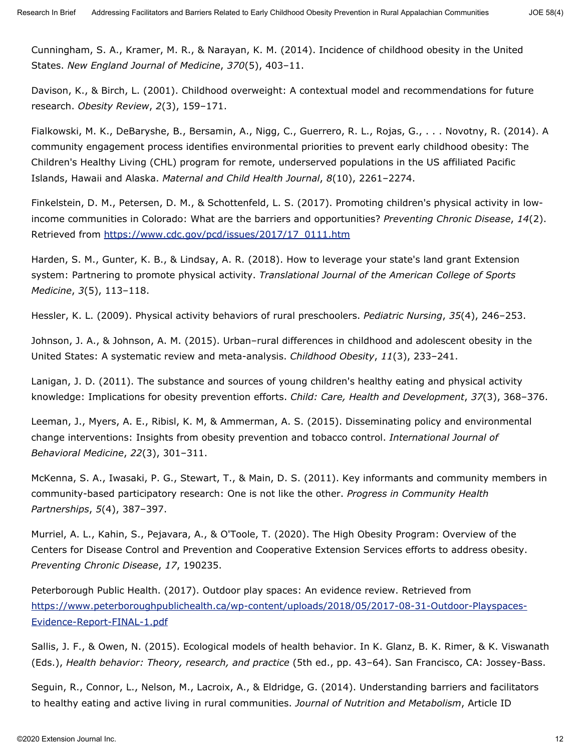Cunningham, S. A., Kramer, M. R., & Narayan, K. M. (2014). Incidence of childhood obesity in the United States. *New England Journal of Medicine*, *370*(5), 403–11.

Davison, K., & Birch, L. (2001). Childhood overweight: A contextual model and recommendations for future research. *Obesity Review*, *2*(3), 159–171.

Fialkowski, M. K., DeBaryshe, B., Bersamin, A., Nigg, C., Guerrero, R. L., Rojas, G., . . . Novotny, R. (2014). A community engagement process identifies environmental priorities to prevent early childhood obesity: The Children's Healthy Living (CHL) program for remote, underserved populations in the US affiliated Pacific Islands, Hawaii and Alaska. *Maternal and Child Health Journal*, *8*(10), 2261–2274.

Finkelstein, D. M., Petersen, D. M., & Schottenfeld, L. S. (2017). Promoting children's physical activity in lowincome communities in Colorado: What are the barriers and opportunities? *Preventing Chronic Disease*, *14*(2). Retrieved from [https://www.cdc.gov/pcd/issues/2017/17\\_0111.htm](https://www.cdc.gov/pcd/issues/2017/17_0111.htm)

Harden, S. M., Gunter, K. B., & Lindsay, A. R. (2018). How to leverage your state's land grant Extension system: Partnering to promote physical activity. *Translational Journal of the American College of Sports Medicine*, *3*(5), 113–118.

Hessler, K. L. (2009). Physical activity behaviors of rural preschoolers. *Pediatric Nursing*, *35*(4), 246–253.

Johnson, J. A., & Johnson, A. M. (2015). Urban–rural differences in childhood and adolescent obesity in the United States: A systematic review and meta-analysis. *Childhood Obesity*, *11*(3), 233–241.

Lanigan, J. D. (2011). The substance and sources of young children's healthy eating and physical activity knowledge: Implications for obesity prevention efforts. *Child: Care, Health and Development*, *37*(3), 368–376.

Leeman, J., Myers, A. E., Ribisl, K. M, & Ammerman, A. S. (2015). Disseminating policy and environmental change interventions: Insights from obesity prevention and tobacco control. *International Journal of Behavioral Medicine*, *22*(3), 301–311.

McKenna, S. A., Iwasaki, P. G., Stewart, T., & Main, D. S. (2011). Key informants and community members in community-based participatory research: One is not like the other. *Progress in Community Health Partnerships*, *5*(4), 387–397.

Murriel, A. L., Kahin, S., Pejavara, A., & O'Toole, T. (2020). The High Obesity Program: Overview of the Centers for Disease Control and Prevention and Cooperative Extension Services efforts to address obesity. *Preventing Chronic Disease*, *17*, 190235.

Peterborough Public Health. (2017). Outdoor play spaces: An evidence review. Retrieved from [https://www.peterboroughpublichealth.ca/wp-content/uploads/2018/05/2017-08-31-Outdoor-Playspaces-](https://www.peterboroughpublichealth.ca/wp-content/uploads/2018/05/2017-08-31-Outdoor-Playspaces-Evidence-Report-FINAL-1.pdf)[Evidence-Report-FINAL-1.pdf](https://www.peterboroughpublichealth.ca/wp-content/uploads/2018/05/2017-08-31-Outdoor-Playspaces-Evidence-Report-FINAL-1.pdf)

Sallis, J. F., & Owen, N. (2015). Ecological models of health behavior. In K. Glanz, B. K. Rimer, & K. Viswanath (Eds.), *Health behavior: Theory, research, and practice* (5th ed., pp. 43–64). San Francisco, CA: Jossey-Bass.

Seguin, R., Connor, L., Nelson, M., Lacroix, A., & Eldridge, G. (2014). Understanding barriers and facilitators to healthy eating and active living in rural communities. *Journal of Nutrition and Metabolism*, Article ID